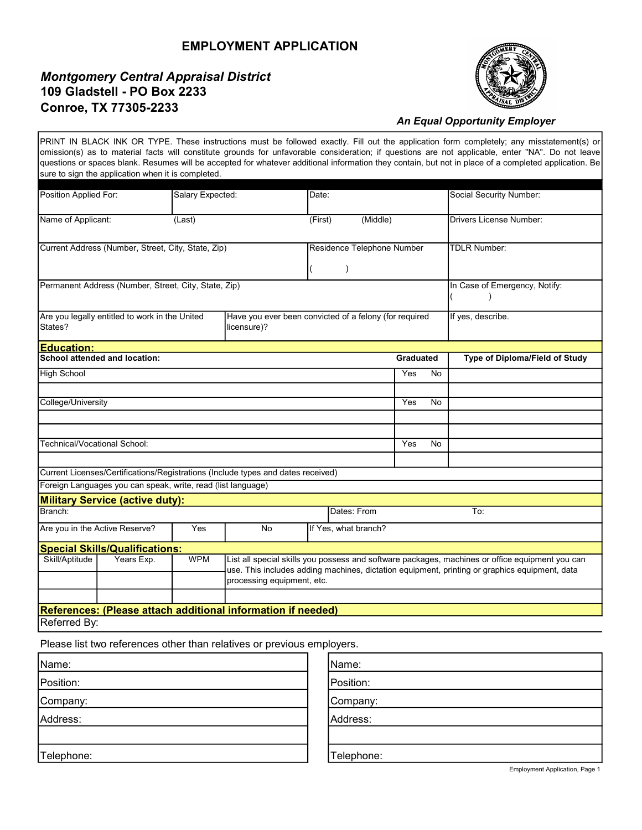## EMPLOYMENT APPLICATION

## Montgomery Central Appraisal District 109 Gladstell - PO Box 2233 Conroe, TX 77305-2233



## An Equal Opportunity Employer

PRINT IN BLACK INK OR TYPE. These instructions must be followed exactly. Fill out the application form completely; any misstatement(s) or omission(s) as to material facts will constitute grounds for unfavorable consideration; if questions are not applicable, enter "NA". Do not leave questions or spaces blank. Resumes will be accepted for whatever additional information they contain, but not in place of a completed application. Be sure to sign the application when it is completed.

| Position Applied For:                                                                                                              |                                                              | Salary Expected: |                                                                                                                                                                                                                                | Date:                |                                |                  |                   | <b>Social Security Number:</b> |
|------------------------------------------------------------------------------------------------------------------------------------|--------------------------------------------------------------|------------------|--------------------------------------------------------------------------------------------------------------------------------------------------------------------------------------------------------------------------------|----------------------|--------------------------------|------------------|-------------------|--------------------------------|
| Name of Applicant:<br>(Last)                                                                                                       |                                                              |                  | (Middle)<br>(First)                                                                                                                                                                                                            |                      | <b>Drivers License Number:</b> |                  |                   |                                |
| Current Address (Number, Street, City, State, Zip)                                                                                 |                                                              |                  |                                                                                                                                                                                                                                |                      | Residence Telephone Number     |                  |                   | <b>TDLR Number:</b>            |
| Permanent Address (Number, Street, City, State, Zip)                                                                               |                                                              |                  |                                                                                                                                                                                                                                |                      |                                |                  |                   | In Case of Emergency, Notify:  |
| Are you legally entitled to work in the United<br>Have you ever been convicted of a felony (for required<br>States?<br>licensure)? |                                                              |                  |                                                                                                                                                                                                                                |                      |                                |                  | If yes, describe. |                                |
| <b>Education:</b>                                                                                                                  |                                                              |                  |                                                                                                                                                                                                                                |                      |                                |                  |                   |                                |
|                                                                                                                                    | School attended and location:                                |                  |                                                                                                                                                                                                                                |                      |                                | <b>Graduated</b> |                   | Type of Diploma/Field of Study |
| <b>High School</b>                                                                                                                 |                                                              |                  |                                                                                                                                                                                                                                |                      |                                | Yes              | No                |                                |
|                                                                                                                                    |                                                              |                  |                                                                                                                                                                                                                                |                      |                                |                  |                   |                                |
| College/University                                                                                                                 |                                                              |                  |                                                                                                                                                                                                                                |                      |                                | Yes              | <b>No</b>         |                                |
|                                                                                                                                    |                                                              |                  |                                                                                                                                                                                                                                |                      |                                |                  |                   |                                |
|                                                                                                                                    |                                                              |                  |                                                                                                                                                                                                                                |                      |                                |                  |                   |                                |
| Technical/Vocational School:                                                                                                       |                                                              |                  |                                                                                                                                                                                                                                |                      |                                | Yes              | <b>No</b>         |                                |
|                                                                                                                                    |                                                              |                  |                                                                                                                                                                                                                                |                      |                                |                  |                   |                                |
| Current Licenses/Certifications/Registrations (Include types and dates received)                                                   |                                                              |                  |                                                                                                                                                                                                                                |                      |                                |                  |                   |                                |
|                                                                                                                                    | Foreign Languages you can speak, write, read (list language) |                  |                                                                                                                                                                                                                                |                      |                                |                  |                   |                                |
|                                                                                                                                    | <b>Military Service (active duty):</b>                       |                  |                                                                                                                                                                                                                                |                      |                                |                  |                   |                                |
| Dates: From<br>Branch:<br>To:                                                                                                      |                                                              |                  |                                                                                                                                                                                                                                |                      |                                |                  |                   |                                |
| Are you in the Active Reserve?<br>Yes                                                                                              |                                                              |                  | <b>No</b>                                                                                                                                                                                                                      | If Yes, what branch? |                                |                  |                   |                                |
|                                                                                                                                    | <b>Special Skills/Qualifications:</b>                        |                  |                                                                                                                                                                                                                                |                      |                                |                  |                   |                                |
| Skill/Aptitude                                                                                                                     | Years Exp.                                                   | <b>WPM</b>       | List all special skills you possess and software packages, machines or office equipment you can<br>use. This includes adding machines, dictation equipment, printing or graphics equipment, data<br>processing equipment, etc. |                      |                                |                  |                   |                                |
|                                                                                                                                    |                                                              |                  |                                                                                                                                                                                                                                |                      |                                |                  |                   |                                |
| References: (Please attach additional information if needed)                                                                       |                                                              |                  |                                                                                                                                                                                                                                |                      |                                |                  |                   |                                |

Referred By:

Please list two references other than relatives or previous employers.

| Name:      | Name:      |
|------------|------------|
| Position:  | Position:  |
| Company:   | Company:   |
| Address:   | Address:   |
|            |            |
| Telephone: | Telephone: |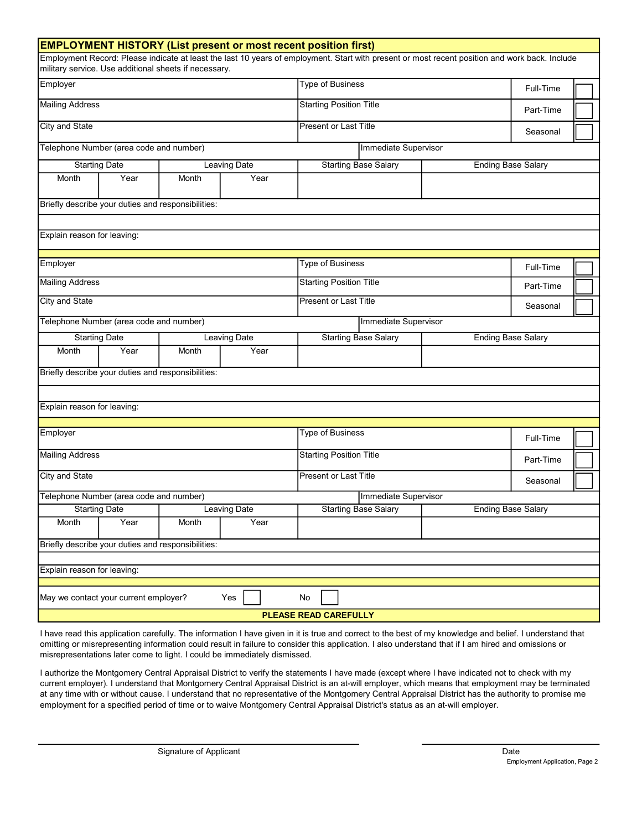| <b>EMPLOYMENT HISTORY (List present or most recent position first)</b>                                                                                                                                  |                     |                                |                                |                                                          |                           |           |  |  |
|---------------------------------------------------------------------------------------------------------------------------------------------------------------------------------------------------------|---------------------|--------------------------------|--------------------------------|----------------------------------------------------------|---------------------------|-----------|--|--|
| Employment Record: Please indicate at least the last 10 years of employment. Start with present or most recent position and work back. Include<br>military service. Use additional sheets if necessary. |                     |                                |                                |                                                          |                           |           |  |  |
| Employer                                                                                                                                                                                                |                     | <b>Type of Business</b>        |                                |                                                          |                           |           |  |  |
| <b>Mailing Address</b>                                                                                                                                                                                  |                     | <b>Starting Position Title</b> |                                |                                                          |                           |           |  |  |
| <b>City and State</b>                                                                                                                                                                                   |                     |                                |                                | Present or Last Title                                    |                           |           |  |  |
| Telephone Number (area code and number)                                                                                                                                                                 |                     |                                |                                | Immediate Supervisor                                     |                           |           |  |  |
| <b>Starting Date</b><br>Leaving Date                                                                                                                                                                    |                     |                                |                                | <b>Starting Base Salary</b><br><b>Ending Base Salary</b> |                           |           |  |  |
| Month<br>Year                                                                                                                                                                                           | Month               | Year                           |                                |                                                          |                           |           |  |  |
| Briefly describe your duties and responsibilities:                                                                                                                                                      |                     |                                |                                |                                                          |                           |           |  |  |
|                                                                                                                                                                                                         |                     |                                |                                |                                                          |                           |           |  |  |
| Explain reason for leaving:                                                                                                                                                                             |                     |                                |                                |                                                          |                           |           |  |  |
| Employer                                                                                                                                                                                                |                     |                                |                                | <b>Type of Business</b>                                  |                           |           |  |  |
| <b>Mailing Address</b>                                                                                                                                                                                  |                     |                                | <b>Starting Position Title</b> |                                                          |                           | Part-Time |  |  |
| City and State                                                                                                                                                                                          |                     |                                |                                | Present or Last Title                                    |                           |           |  |  |
| Telephone Number (area code and number)                                                                                                                                                                 |                     |                                |                                | Immediate Supervisor                                     |                           |           |  |  |
| <b>Starting Date</b>                                                                                                                                                                                    |                     | <b>Leaving Date</b>            |                                | <b>Starting Base Salary</b><br><b>Ending Base Salary</b> |                           |           |  |  |
| Year<br>Month                                                                                                                                                                                           | Month               | Year                           |                                |                                                          |                           |           |  |  |
| Briefly describe your duties and responsibilities:                                                                                                                                                      |                     |                                |                                |                                                          |                           |           |  |  |
|                                                                                                                                                                                                         |                     |                                |                                |                                                          |                           |           |  |  |
| Explain reason for leaving:                                                                                                                                                                             |                     |                                |                                |                                                          |                           |           |  |  |
| Employer                                                                                                                                                                                                |                     |                                | Type of Business               |                                                          |                           |           |  |  |
|                                                                                                                                                                                                         |                     |                                |                                |                                                          |                           |           |  |  |
| <b>Mailing Address</b>                                                                                                                                                                                  |                     |                                |                                | <b>Starting Position Title</b>                           |                           |           |  |  |
| <b>City and State</b>                                                                                                                                                                                   |                     | Present or Last Title          |                                |                                                          |                           |           |  |  |
| Telephone Number (area code and number)                                                                                                                                                                 |                     | Immediate Supervisor           |                                |                                                          |                           |           |  |  |
| Starting Date                                                                                                                                                                                           | <b>Leaving Date</b> |                                | <b>Starting Base Salary</b>    |                                                          | <b>Ending Base Salary</b> |           |  |  |
| Year<br>Month                                                                                                                                                                                           | Month               | Year                           |                                |                                                          |                           |           |  |  |
| Briefly describe your duties and responsibilities:                                                                                                                                                      |                     |                                |                                |                                                          |                           |           |  |  |
|                                                                                                                                                                                                         |                     |                                |                                |                                                          |                           |           |  |  |
| Explain reason for leaving:                                                                                                                                                                             |                     |                                |                                |                                                          |                           |           |  |  |
| Yes<br>May we contact your current employer?<br>No                                                                                                                                                      |                     |                                |                                |                                                          |                           |           |  |  |
| PLEASE READ CAREFULLY                                                                                                                                                                                   |                     |                                |                                |                                                          |                           |           |  |  |

I have read this application carefully. The information I have given in it is true and correct to the best of my knowledge and belief. I understand that omitting or misrepresenting information could result in failure to consider this application. I also understand that if I am hired and omissions or misrepresentations later come to light. I could be immediately dismissed.

I authorize the Montgomery Central Appraisal District to verify the statements I have made (except where I have indicated not to check with my current employer). I understand that Montgomery Central Appraisal District is an at-will employer, which means that employment may be terminated at any time with or without cause. I understand that no representative of the Montgomery Central Appraisal District has the authority to promise me employment for a specified period of time or to waive Montgomery Central Appraisal District's status as an at-will employer.